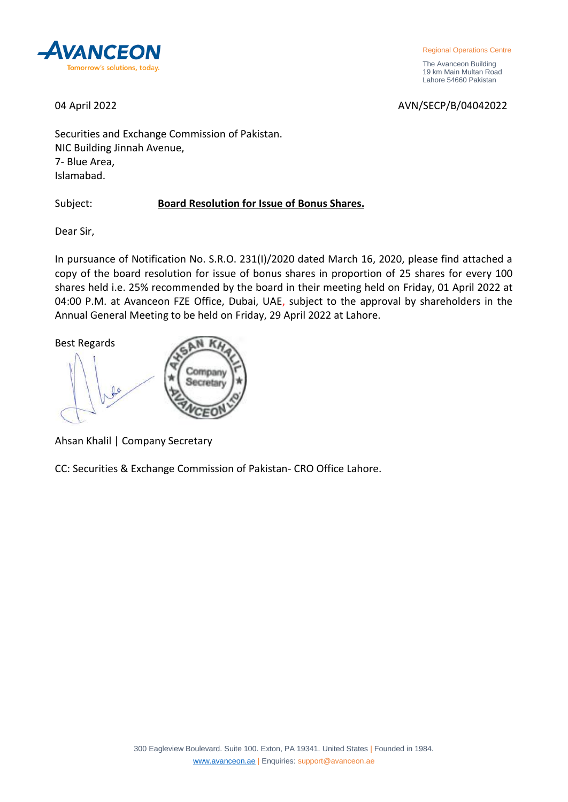

 The Avanceon Building 19 km Main Multan Road Lahore 54660 Pakistan

04 April 2022 2022 2023 2024 2027 2027 2028 2029 2029 2027 2027 2027 2028 2029 2027 2027 2028 2029 2027 2027 20

Securities and Exchange Commission of Pakistan. NIC Building Jinnah Avenue, 7- Blue Area, Islamabad.

Subject: **Board Resolution for Issue of Bonus Shares.**

Dear Sir,

In pursuance of Notification No. S.R.O. 231(I)/2020 dated March 16, 2020, please find attached a copy of the board resolution for issue of bonus shares in proportion of 25 shares for every 100 shares held i.e. 25% recommended by the board in their meeting held on Friday, 01 April 2022 at 04:00 P.M. at Avanceon FZE Office, Dubai, UAE, subject to the approval by shareholders in the Annual General Meeting to be held on Friday, 29 April 2022 at Lahore.

Best Regards Company Secretary

Ahsan Khalil | Company Secretary

CC: Securities & Exchange Commission of Pakistan- CRO Office Lahore.